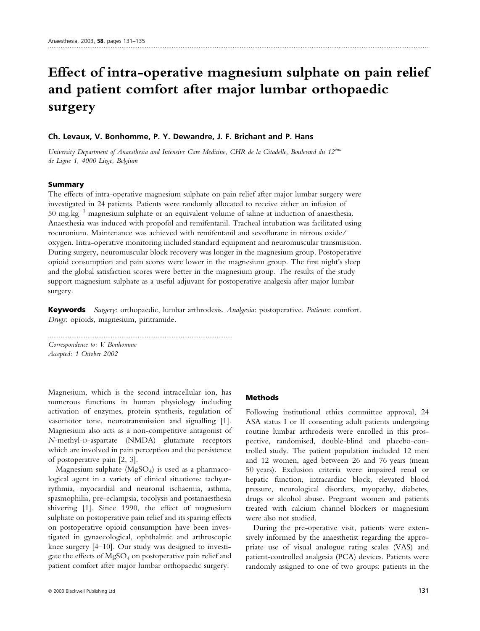# Effect of intra-operative magnesium sulphate on pain relief and patient comfort after major lumbar orthopaedic surgery

## Ch. Levaux, V. Bonhomme, P. Y. Dewandre, J. F. Brichant and P. Hans

University Department of Anaesthesia and Intensive Care Medicine, CHR de la Citadelle, Boulevard du 12<sup>ème</sup> de Ligne 1, 4000 Liege, Belgium

## Summary

The effects of intra-operative magnesium sulphate on pain relief after major lumbar surgery were investigated in 24 patients. Patients were randomly allocated to receive either an infusion of 50 mg.kg<sup> $-1$ </sup> magnesium sulphate or an equivalent volume of saline at induction of anaesthesia. Anaesthesia was induced with propofol and remifentanil. Tracheal intubation was facilitated using rocuronium. Maintenance was achieved with remifentanil and sevoflurane in nitrous oxide ⁄ oxygen. Intra-operative monitoring included standard equipment and neuromuscular transmission. During surgery, neuromuscular block recovery was longer in the magnesium group. Postoperative opioid consumption and pain scores were lower in the magnesium group. The first night's sleep and the global satisfaction scores were better in the magnesium group. The results of the study support magnesium sulphate as a useful adjuvant for postoperative analgesia after major lumbar surgery.

Keywords Surgery: orthopaedic, lumbar arthrodesis. Analgesia: postoperative. Patients: comfort. Drugs: opioids, magnesium, piritramide.

Correspondence to: V. Bonhomme Accepted: 1 October 2002

Magnesium, which is the second intracellular ion, has numerous functions in human physiology including activation of enzymes, protein synthesis, regulation of vasomotor tone, neurotransmission and signalling [1]. Magnesium also acts as a non-competitive antagonist of N-methyl-D-aspartate (NMDA) glutamate receptors which are involved in pain perception and the persistence of postoperative pain [2, 3].

.......................................................................................................

Magnesium sulphate  $(MgSO<sub>4</sub>)$  is used as a pharmacological agent in a variety of clinical situations: tachyarrythmia, myocardial and neuronal ischaemia, asthma, spasmophilia, pre-eclampsia, tocolysis and postanaesthesia shivering [1]. Since 1990, the effect of magnesium sulphate on postoperative pain relief and its sparing effects on postoperative opioid consumption have been investigated in gynaecological, ophthalmic and arthroscopic knee surgery [4–10]. Our study was designed to investigate the effects of MgSO4 on postoperative pain relief and patient comfort after major lumbar orthopaedic surgery.

## Methods

Following institutional ethics committee approval, 24 ASA status I or II consenting adult patients undergoing routine lumbar arthrodesis were enrolled in this prospective, randomised, double-blind and placebo-controlled study. The patient population included 12 men and 12 women, aged between 26 and 76 years (mean 50 years). Exclusion criteria were impaired renal or hepatic function, intracardiac block, elevated blood pressure, neurological disorders, myopathy, diabetes, drugs or alcohol abuse. Pregnant women and patients treated with calcium channel blockers or magnesium were also not studied.

During the pre-operative visit, patients were extensively informed by the anaesthetist regarding the appropriate use of visual analogue rating scales (VAS) and patient-controlled analgesia (PCA) devices. Patients were randomly assigned to one of two groups: patients in the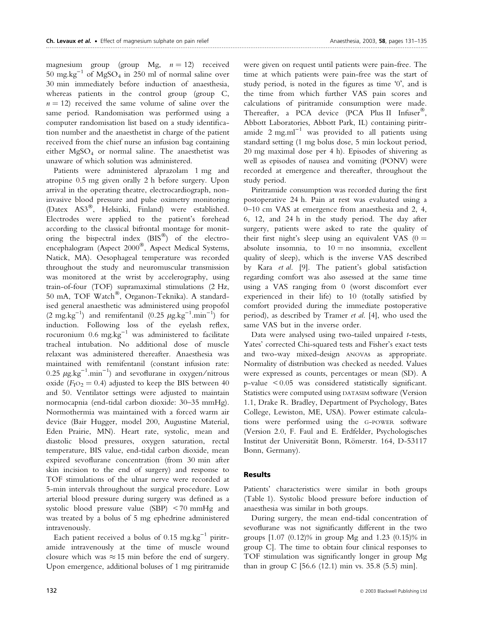magnesium group (group Mg,  $n = 12$ ) received  $50 \text{ mg} \cdot \text{kg}^{-1}$  of MgSO<sub>4</sub> in 250 ml of normal saline over 30 min immediately before induction of anaesthesia, whereas patients in the control group (group C,  $n = 12$ ) received the same volume of saline over the same period. Randomisation was performed using a computer randomisation list based on a study identification number and the anaesthetist in charge of the patient received from the chief nurse an infusion bag containing either  $MgSO<sub>4</sub>$  or normal saline. The anaesthetist was unaware of which solution was administered.

Patients were administered alprazolam 1 mg and atropine 0.5 mg given orally 2 h before surgery. Upon arrival in the operating theatre, electrocardiograph, noninvasive blood pressure and pulse oximetry monitoring (Datex AS3®, Helsinki, Finland) were established. Electrodes were applied to the patient's forehead according to the classical bifrontal montage for monitoring the bispectral index  $(BIS^{\circledR})$  of the electroencephalogram (Aspect 2000®, Aspect Medical Systems, Natick, MA). Oesophageal temperature was recorded throughout the study and neuromuscular transmission was monitored at the wrist by accelerography, using train-of-four (TOF) supramaximal stimulations (2 Hz, 50 mA, TOF Watch®, Organon-Teknika). A standardised general anaesthetic was administered using propofol  $(2 \text{ mg} \cdot \text{kg}^{-1})$  and remifentanil  $(0.25 \mu \text{g} \cdot \text{kg}^{-1} \cdot \text{min}^{-1})$  for induction. Following loss of the eyelash reflex, rocuronium  $0.6 \text{ mg} \cdot \text{kg}^{-1}$  was administered to facilitate tracheal intubation. No additional dose of muscle relaxant was administered thereafter. Anaesthesia was maintained with remifentanil (constant infusion rate: 0.25  $\mu$ g.kg<sup>-1</sup>.min<sup>-1</sup>) and sevoflurane in oxygen/nitrous oxide ( $F_1O_2 = 0.4$ ) adjusted to keep the BIS between 40 and 50. Ventilator settings were adjusted to maintain normocapnia (end-tidal carbon dioxide: 30–35 mmHg). Normothermia was maintained with a forced warm air device (Bair Hugger, model 200, Augustine Material, Eden Prairie, MN). Heart rate, systolic, mean and diastolic blood pressures, oxygen saturation, rectal temperature, BIS value, end-tidal carbon dioxide, mean expired sevoflurane concentration (from 30 min after skin incision to the end of surgery) and response to TOF stimulations of the ulnar nerve were recorded at 5-min intervals throughout the surgical procedure. Low arterial blood pressure during surgery was defined as a systolic blood pressure value (SBP) < 70 mmHg and was treated by a bolus of 5 mg ephedrine administered intravenously.

Each patient received a bolus of 0.15 mg.kg<sup>-1</sup> piritramide intravenously at the time of muscle wound closure which was  $\approx 15$  min before the end of surgery. Upon emergence, additional boluses of 1 mg piritramide

were given on request until patients were pain-free. The time at which patients were pain-free was the start of study period, is noted in the figures as time '0', and is the time from which further VAS pain scores and calculations of piritramide consumption were made. Thereafter, a PCA device (PCA Plus II Infuser®, Abbott Laboratories, Abbott Park, IL) containing piritramide  $2 \text{ mg.ml}^{-1}$  was provided to all patients using standard setting (1 mg bolus dose, 5 min lockout period, 20 mg maximal dose per 4 h). Episodes of shivering as well as episodes of nausea and vomiting (PONV) were recorded at emergence and thereafter, throughout the study period.

Piritramide consumption was recorded during the first postoperative 24 h. Pain at rest was evaluated using a 0–10 cm VAS at emergence from anaesthesia and 2, 4, 6, 12, and 24 h in the study period. The day after surgery, patients were asked to rate the quality of their first night's sleep using an equivalent VAS  $(0 =$ absolute insomnia, to  $10 = no$  insomnia, excellent quality of sleep), which is the inverse VAS described by Kara et al. [9]. The patient's global satisfaction regarding comfort was also assessed at the same time using a VAS ranging from 0 (worst discomfort ever experienced in their life) to 10 (totally satisfied by comfort provided during the immediate postoperative period), as described by Tramer et al. [4], who used the same VAS but in the inverse order.

Data were analysed using two-tailed unpaired t-tests, Yates' corrected Chi-squared tests and Fisher's exact tests and two-way mixed-design ANOVAs as appropriate. Normality of distribution was checked as needed. Values were expressed as counts, percentages or mean (SD). A p-value < 0.05 was considered statistically significant. Statistics were computed using DATASIM software (Version 1.1, Drake R. Bradley, Department of Psychology, Bates College, Lewiston, ME, USA). Power estimate calculations were performed using the G-POWER software (Version 2.0, F. Faul and E. Erdfelder, Psychologisches Institut der Universität Bonn, Römerstr. 164, D-53117 Bonn, Germany).

# Results

Patients' characteristics were similar in both groups (Table 1). Systolic blood pressure before induction of anaesthesia was similar in both groups.

During surgery, the mean end-tidal concentration of sevoflurane was not significantly different in the two groups [1.07 (0.12)% in group Mg and 1.23 (0.15)% in group C]. The time to obtain four clinical responses to TOF stimulation was significantly longer in group Mg than in group C [56.6 (12.1) min vs. 35.8 (5.5) min].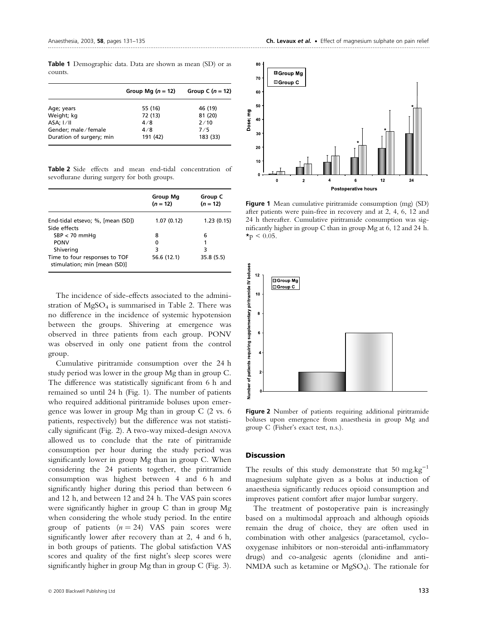Table 1 Demographic data. Data are shown as mean (SD) or as counts.

|                          | Group Mg $(n = 12)$ | Group C $(n = 12)$ |
|--------------------------|---------------------|--------------------|
| Age; years               | 55 (16)             | 46 (19)            |
| Weight; kg               | 72 (13)             | 81 (20)            |
| $ASA$ ; $I/II$           | 4/8                 | 2/10               |
| Gender; male/female      | 4/8                 | 7/5                |
| Duration of surgery; min | 191 (42)            | 183 (33)           |

Table 2 Side effects and mean end-tidal concentration of sevoflurane during surgery for both groups.

|                                                               | Group Mg<br>$(n = 12)$ | Group C<br>$(n = 12)$ |
|---------------------------------------------------------------|------------------------|-----------------------|
| End-tidal etsevo; %, [mean (SD])<br>Side effects              | 1.07(0.12)             | 1.23(0.15)            |
| $SBP < 70$ mmHq                                               | 8                      | 6                     |
| <b>PONV</b>                                                   | 0                      | 1                     |
| Shivering                                                     | 3                      | 3                     |
| Time to four responses to TOF<br>stimulation; min [mean (SD)] | 56.6 (12.1)            | 35.8(5.5)             |

The incidence of side-effects associated to the administration of  $MgSO<sub>4</sub>$  is summarised in Table 2. There was no difference in the incidence of systemic hypotension between the groups. Shivering at emergence was observed in three patients from each group. PONV was observed in only one patient from the control group.

Cumulative piritramide consumption over the 24 h study period was lower in the group Mg than in group C. The difference was statistically significant from 6 h and remained so until 24 h (Fig. 1). The number of patients who required additional piritramide boluses upon emergence was lower in group Mg than in group C (2 vs. 6 patients, respectively) but the difference was not statistically significant (Fig. 2). A two-way mixed-design ANOVA allowed us to conclude that the rate of piritramide consumption per hour during the study period was significantly lower in group Mg than in group C. When considering the 24 patients together, the piritramide consumption was highest between 4 and 6 h and significantly higher during this period than between 6 and 12 h, and between 12 and 24 h. The VAS pain scores were significantly higher in group C than in group Mg when considering the whole study period. In the entire group of patients  $(n = 24)$  VAS pain scores were significantly lower after recovery than at 2, 4 and 6 h, in both groups of patients. The global satisfaction VAS scores and quality of the first night's sleep scores were significantly higher in group Mg than in group C (Fig. 3).



Figure 1 Mean cumulative piritramide consumption (mg) (SD) after patients were pain-free in recovery and at 2, 4, 6, 12 and 24 h thereafter. Cumulative piritramide consumption was significantly higher in group C than in group Mg at 6, 12 and 24 h.  $\star$ p < 0.05.



Figure 2 Number of patients requiring additional piritramide boluses upon emergence from anaesthesia in group Mg and group C (Fisher's exact test, n.s.).

### **Discussion**

The results of this study demonstrate that 50 mg.kg<sup>-1</sup> magnesium sulphate given as a bolus at induction of anaesthesia significantly reduces opioid consumption and improves patient comfort after major lumbar surgery.

The treatment of postoperative pain is increasingly based on a multimodal approach and although opioids remain the drug of choice, they are often used in combination with other analgesics (paracetamol, cyclooxygenase inhibitors or non-steroidal anti-inflammatory drugs) and co-analgesic agents (clonidine and anti-NMDA such as ketamine or  $MgSO<sub>4</sub>$ ). The rationale for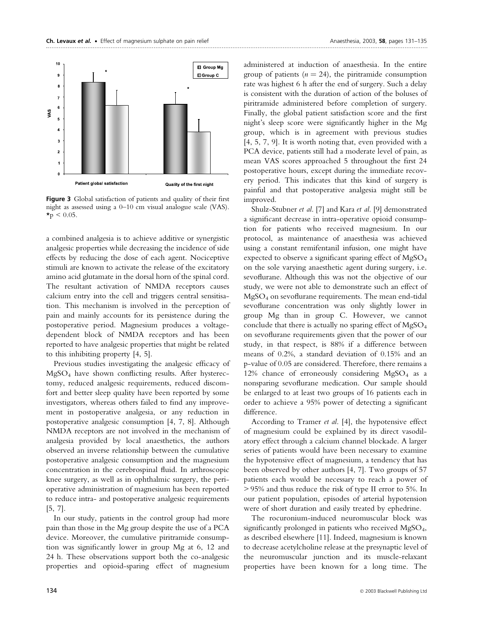

Figure 3 Global satisfaction of patients and quality of their first night as assessed using a 0–10 cm visual analogue scale (VAS).  $\star_{\rm p}$  < 0.05.

a combined analgesia is to achieve additive or synergistic analgesic properties while decreasing the incidence of side effects by reducing the dose of each agent. Nociceptive stimuli are known to activate the release of the excitatory amino acid glutamate in the dorsal horn of the spinal cord. The resultant activation of NMDA receptors causes calcium entry into the cell and triggers central sensitisation. This mechanism is involved in the perception of pain and mainly accounts for its persistence during the postoperative period. Magnesium produces a voltagedependent block of NMDA receptors and has been reported to have analgesic properties that might be related to this inhibiting property [4, 5].

Previous studies investigating the analgesic efficacy of MgSO4 have shown conflicting results. After hysterectomy, reduced analgesic requirements, reduced discomfort and better sleep quality have been reported by some investigators, whereas others failed to find any improvement in postoperative analgesia, or any reduction in postoperative analgesic consumption [4, 7, 8]. Although NMDA receptors are not involved in the mechanism of analgesia provided by local anaesthetics, the authors observed an inverse relationship between the cumulative postoperative analgesic consumption and the magnesium concentration in the cerebrospinal fluid. In arthroscopic knee surgery, as well as in ophthalmic surgery, the perioperative administration of magnesium has been reported to reduce intra- and postoperative analgesic requirements [5, 7].

In our study, patients in the control group had more pain than those in the Mg group despite the use of a PCA device. Moreover, the cumulative piritramide consumption was significantly lower in group Mg at 6, 12 and 24 h. These observations support both the co-analgesic properties and opioid-sparing effect of magnesium

administered at induction of anaesthesia. In the entire group of patients ( $n = 24$ ), the piritramide consumption rate was highest 6 h after the end of surgery. Such a delay is consistent with the duration of action of the boluses of piritramide administered before completion of surgery. Finally, the global patient satisfaction score and the first night's sleep score were significantly higher in the Mg group, which is in agreement with previous studies [4, 5, 7, 9]. It is worth noting that, even provided with a PCA device, patients still had a moderate level of pain, as mean VAS scores approached 5 throughout the first 24 postoperative hours, except during the immediate recovery period. This indicates that this kind of surgery is painful and that postoperative analgesia might still be improved.

Shulz-Stubner et al. [7] and Kara et al. [9] demonstrated a significant decrease in intra-operative opioid consumption for patients who received magnesium. In our protocol, as maintenance of anaesthesia was achieved using a constant remifentanil infusion, one might have expected to observe a significant sparing effect of  $MgSO<sub>4</sub>$ on the sole varying anaesthetic agent during surgery, i.e. sevoflurane. Although this was not the objective of our study, we were not able to demonstrate such an effect of  $MgSO<sub>4</sub>$  on sevoflurane requirements. The mean end-tidal sevoflurane concentration was only slightly lower in group Mg than in group C. However, we cannot conclude that there is actually no sparing effect of MgSO4 on sevoflurane requirements given that the power of our study, in that respect, is 88% if a difference between means of 0.2%, a standard deviation of 0.15% and an p-value of 0.05 are considered. Therefore, there remains a 12% chance of erroneously considering  $MgSO<sub>4</sub>$  as a nonsparing sevoflurane medication. Our sample should be enlarged to at least two groups of 16 patients each in order to achieve a 95% power of detecting a significant difference.

According to Tramer et al. [4], the hypotensive effect of magnesium could be explained by its direct vasodilatory effect through a calcium channel blockade. A larger series of patients would have been necessary to examine the hypotensive effect of magnesium, a tendency that has been observed by other authors [4, 7]. Two groups of 57 patients each would be necessary to reach a power of > 95% and thus reduce the risk of type II error to 5%. In our patient population, episodes of arterial hypotension were of short duration and easily treated by ephedrine.

The rocuronium-induced neuromuscular block was significantly prolonged in patients who received  $MgSO<sub>4</sub>$ , as described elsewhere [11]. Indeed, magnesium is known to decrease acetylcholine release at the presynaptic level of the neuromuscular junction and its muscle-relaxant properties have been known for a long time. The